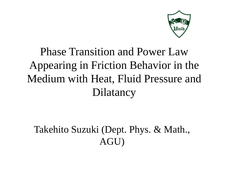

#### Phase Transition and Power Law Appearing in Friction Behavior in the Medium with Heat, Fluid Pressure and Dilatancy

#### Takehito Suzuki (Dept. Phys. & Math., AGU)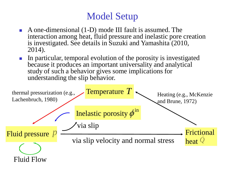#### Model Setup

- A one-dimensional (1-D) mode III fault is assumed. The interaction among heat, fluid pressure and inelastic pore creation is investigated. See details in Suzuki and Yamashita (2010, 2014).
- In particular, temporal evolution of the porosity is investigated because it produces an important universality and analytical study of such a behavior gives some implications for understanding the slip behavior.

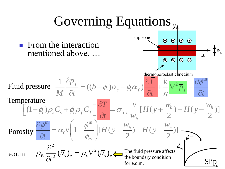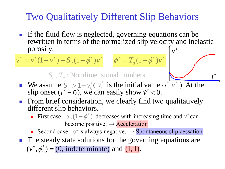#### Two Qualitatively Different Slip Behaviors

If the fluid flow is neglected, governing equations can be rewritten in terms of the normalized slip velocity and inelastic porosity: *v*  $\ast$ 

> *t*  $\ast$

$$
\dot{v}^* = v^* (1 - v^*) - S_u (1 - \phi^*) v^* \qquad \dot{\phi}^* = T_a (1 - \phi^*) v^*
$$

 $S_u$ ,  $T_a$ : Nondimensional numbers

- We assume  $S_{\mu} > 1 v_0^*$  ( $v_0^*$  is the initial value of  $\overline{v^*}$ ). At the We assume  $S_u > 1 - v_0^*$  ( $v_0^*$  is the initial value of  $\overline{v^*}$  slip onset ( $t^* = 0$ ), we can easily show  $\dot{v}^* < 0$ .  $t^* = 0$ , we can easily show  $\dot{v}^* < 0$
- **Figure 1.5 From brief consideration, we clearly find two qualitatively** different slip behaviors.
	- First case:  $S_u(1-\phi^*)$  decreases with increasing time and  $\dot{v}^*$  can become positive.  $\rightarrow$  Acceleration
	- Second case:  $\dot{v}^*$  is always negative.  $\rightarrow$  Spontaneous slip cessation
- The steady state solutions for the governing equations are<br> $(v^*, \phi^*) = (0 \text{ indeterminate})$  and  $(1, 1)$ The steady state solutions for the gove  $(v_s^*, \phi_s^*) = (0, \text{indeterminate})$  and  $(1, 1)$ .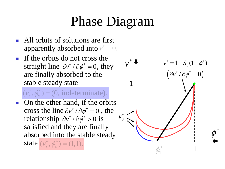## Phase Diagram

- All orbits of solutions are first apparently absorbed into  $v^* = 0$ .
- $\blacksquare$  If the orbits do not cross the straight line  $\partial v^* / \partial \phi^* = 0$ , they are finally absorbed to the stable steady state

#### $(v_s^*, \phi_s^*) = (0, \text{ indeterminate}).$  $\stackrel{*}{\circ}$  d<sup>\*</sup> ) - $\equiv$

• On the other hand, if the orbits cross the line  $\partial v^* / \partial \phi^* = 0$ , the relationship  $\partial v^* / \partial \phi^* > 0$  is satisfied and they are finally absorbed into the stable steady state  $(v_s^*, \phi_s^*) = (1,1)$ .

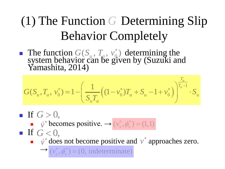## (1) The Function G Determining Slip Behavior Completely

• The function  $G(S_u, T_a, v_0^*)$  determining the Yamashita, 2014)  $G(S_u, T_a, v_0^*)$ 

system behaviour can be given by (Suzuki and  
Yamashita, 2014)  

$$
G(S_u, T_a, v_0^*) = 1 - \left(\frac{1}{S_u T_a} \left((1 - v_0^*)T_a + S_u - 1 + v_0^*\right)\right)^{\frac{T_a}{T_a - 1}} \cdot S_u
$$

- If  $G > 0$ ,
- **f**  $\overrightarrow{v}^*$  becomes positive.  $\rightarrow (v_s^*, \phi_s^*) = (1,1)$ <br> **f**  $G < 0$ , If  $G < 0$ .
	- $\vec{v}$ <sup>\*</sup> does not become positive and  $v$ <sup>\*</sup> approaches zero.

 $\longrightarrow$  $(v_s^*, \phi_s^*) = (0, \text{ indeterminate})$  $*$   $\phi^*$  $=$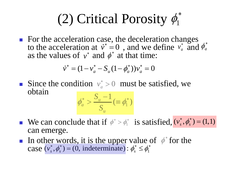# (2) Critical Porosity  $\phi_1^*$

■ For the acceleration case, the deceleration changes to the acceleration at  $\dot{v}^* = 0$ , and we define  $v_a^*$  and  $\phi_a^*$ <br>as the values of  $v^*$  and  $\phi^*$  at that time:<br> $\dot{v}^* = (1 - v_a^* - S_u(1 - \phi_a^*))v_a^* = 0$ as the values of  $v^*$  and  $\phi^*$  at that time:

$$
\dot{v}^* = (1 - v_a^* - S_u(1 - \phi_a^*))v_a^* = 0
$$

Since the condition  $v_a^* > 0$  must be satisfied, we obtain

$$
\phi_a^* > \frac{S_u - 1}{S_u} (\equiv \phi_1^*)
$$

- **We can conclude that if**  $\phi^* > \phi_1^*$  is satisfied,  $(v_s^*, \phi_s^*) = (1,1)$ can emerge.
- In other words, it is the upper value of  $\phi^*$  for the case  $(v_s^*, \phi_s^*) = (0, \text{ indeterminate}) : \phi_s^* \leq \phi_1^*$ case  $(v_s^*, \phi_s^*)$  = (0, indeterminate) :  $\phi_s^* \leq \phi_1^*$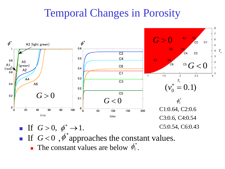#### Temporal Changes in Porosity



- If  $G < 0$ ,  $\dot{\phi}^*$  approaches the constant values.
	- **The constant values are below**  $\phi_1^*$ **.**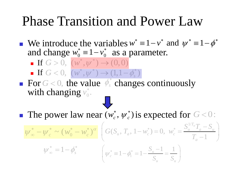### Phase Transition and Power Law

**•** We introduce the variables  $w^* = 1 - v^*$  and  $\psi^* = 1 - \phi^*$ and change  $w_0^* = 1 - v_0^*$  as a parameter.

**If**  $G > 0$ ,  $(w^*, \psi^*) \to (0, 0)$ If  $G > 0$ ,  $(w^*, \psi^*) \to (0, 0)$ <br>If  $G > 0$ ,  $(w^*, \psi^*) \to (1, 1 - \phi_s^*)$  $>$  0,  $(w, \psi) \rightarrow (0, 0)$ <br>  $<$  0,  $(w^*, \psi^*) \rightarrow (1, 1 - \phi_s^*)$ 

For  $G < 0$ , the value  $\phi_s^*$  changes continuously with changing  $v_0^*$ . *G* < 0, the value  $\phi_s^*$  changes continuously<br>
a changing  $v_0^*$ .<br> **D**<br>
power law near  $(w_c^*, \psi_c^*)$  is expected for *G* < 0:

The power law near  $(w_c^*, \psi_c^*)$  is expected for  $*$   $*$ 

The power law near 
$$
(w_c^*, \psi_c^*)
$$
 is expected for  $G < 0$ :  
\n
$$
\psi_{\infty}^* - \psi_c^* \sim (w_0^* - w_c^*)^{\alpha} \left( G(S_u, T_a, 1 - w_c^*) = 0, w_c^* = \frac{S_u^{1/T_a} T_a - S_u}{T_a - 1} \right)
$$
\n
$$
\psi_{\infty}^* = 1 - \phi_s^* \qquad \left( \psi_c^* = 1 - \phi_1^* = 1 - \frac{S_u - 1}{S_u} = \frac{1}{S_u} \right)
$$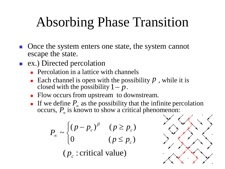## Absorbing Phase Transition

- Once the system enters one state, the system cannot escape the state.
- ex.) Directed percolation
	- **Percolation in a lattice with channels**
	- Each channel is open with the possibility  $p$ , while it is closed with the possibility  $1 - p$ .
	- **Flow occurs from upstream to downstream.**
	- If we define  $P_{\infty}$  as the possibility that the infinite percolation occurs,  $P_{\infty}$  is known to show a critical phenomenon:

$$
P_{\infty} \sim \begin{cases} (p - p_c)^{\beta} & (p \ge p_c) \\ 0 & (p \le p_c) \end{cases}
$$

 $(p_c:$  critical value)

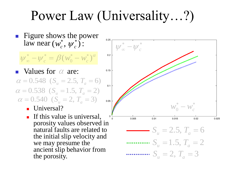Power Law (Universality…?)

 Figure shows the power law near  $(w_c^*, \psi)$  $*$   $*$ 

$$
\psi_{\infty}^* - \psi_c^* = \beta (w_0^* - w_c^*)^{\alpha}
$$

- Values for  $\alpha$  are: **a** values for  $\alpha$  are:<br>  $\alpha = 0.548$  ( $S_u = 2.5$ ,  $T_a = 6$ )<br>  $\alpha = 0.538$  ( $S_u = 1.5$ ,  $T_a = 2$ ) values for  $\alpha$  are:<br> $\alpha = 0.548$  ( $S_u = 2.5$ ,  $T_a = 6$ )  $\alpha = 0.358$  ( $S_u = 1.3$ ,  $I_a = 2$ )<br>  $\alpha = 0.540$  ( $S_u = 2$ ,  $T_a = 3$ )
	- **Universal?**
- If this value is universal, porosity values observed in natural faults are related to the initial slip velocity and we may presume the ancient slip behavior from rear  $(w_c^*, \psi_c^*)$ :<br>  $-\psi_c^* = \beta(w_0^* - w_c^*)$ <br>
ues for  $\alpha$  are:<br>
.548 ( $S_u = 2.5, T_a$ <br>
538 ( $S_u = 1.5, T_a$ <br>
.540 ( $S_u = 2, T_a$ <br>
Universal?<br>
If this value is universal?<br>
If this value is universal?<br>
If this value is universal?<br>
If th